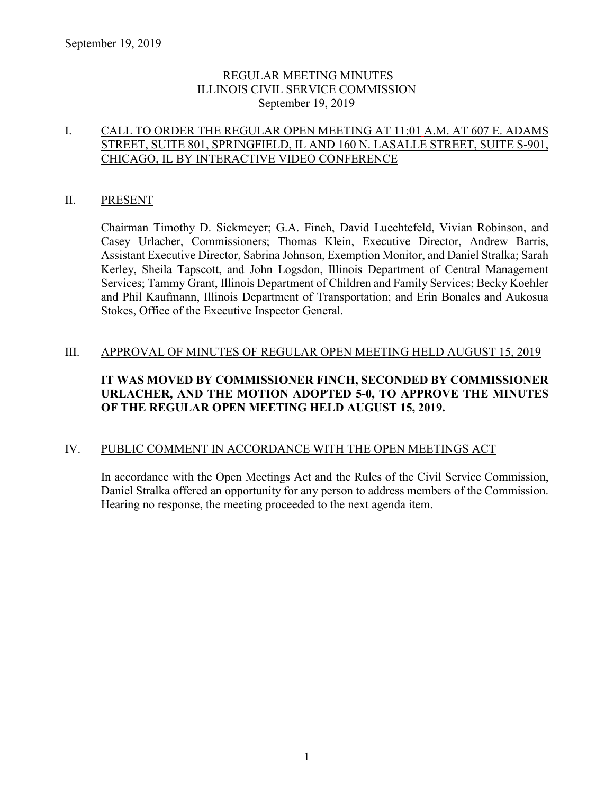### REGULAR MEETING MINUTES ILLINOIS CIVIL SERVICE COMMISSION September 19, 2019

### I. CALL TO ORDER THE REGULAR OPEN MEETING AT 11:01 A.M. AT 607 E. ADAMS STREET, SUITE 801, SPRINGFIELD, IL AND 160 N. LASALLE STREET, SUITE S-901, CHICAGO, IL BY INTERACTIVE VIDEO CONFERENCE

### II. PRESENT

Chairman Timothy D. Sickmeyer; G.A. Finch, David Luechtefeld, Vivian Robinson, and Casey Urlacher, Commissioners; Thomas Klein, Executive Director, Andrew Barris, Assistant Executive Director, Sabrina Johnson, Exemption Monitor, and Daniel Stralka; Sarah Kerley, Sheila Tapscott, and John Logsdon, Illinois Department of Central Management Services; Tammy Grant, Illinois Department of Children and Family Services; Becky Koehler and Phil Kaufmann, Illinois Department of Transportation; and Erin Bonales and Aukosua Stokes, Office of the Executive Inspector General.

### III. APPROVAL OF MINUTES OF REGULAR OPEN MEETING HELD AUGUST 15, 2019

### **IT WAS MOVED BY COMMISSIONER FINCH, SECONDED BY COMMISSIONER URLACHER, AND THE MOTION ADOPTED 5-0, TO APPROVE THE MINUTES OF THE REGULAR OPEN MEETING HELD AUGUST 15, 2019.**

### IV. PUBLIC COMMENT IN ACCORDANCE WITH THE OPEN MEETINGS ACT

In accordance with the Open Meetings Act and the Rules of the Civil Service Commission, Daniel Stralka offered an opportunity for any person to address members of the Commission. Hearing no response, the meeting proceeded to the next agenda item.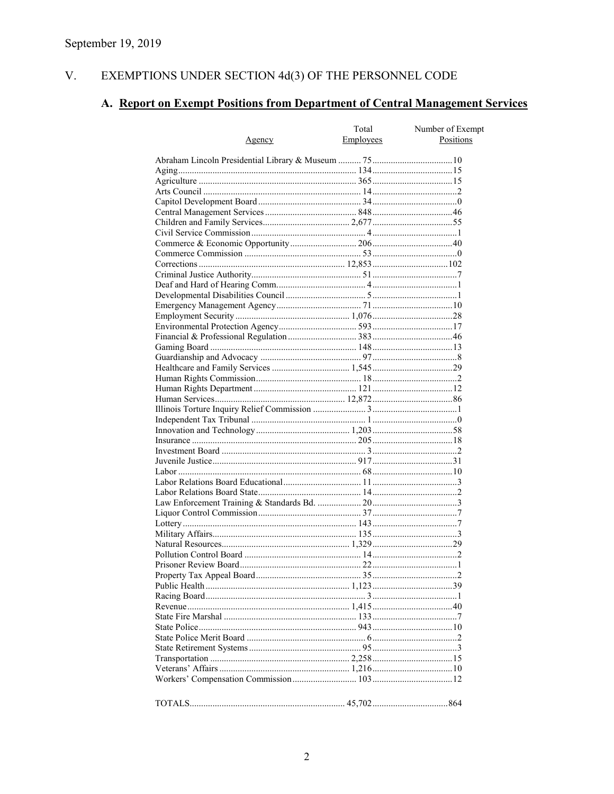#### V. EXEMPTIONS UNDER SECTION  $4d(3)$  OF THE PERSONNEL CODE

# A. Report on Exempt Positions from Department of Central Management Services

|               | Total     | Number of Exempt |
|---------------|-----------|------------------|
| <u>Agency</u> | Employees | Positions        |
|               |           |                  |
|               |           |                  |
|               |           |                  |
|               |           |                  |
|               |           |                  |
|               |           |                  |
|               |           |                  |
|               |           |                  |
|               |           |                  |
|               |           |                  |
|               |           |                  |
|               |           |                  |
|               |           |                  |
|               |           |                  |
|               |           |                  |
|               |           |                  |
|               |           |                  |
|               |           |                  |
|               |           |                  |
|               |           |                  |
|               |           |                  |
|               |           |                  |
|               |           |                  |
|               |           |                  |
|               |           |                  |
|               |           |                  |
|               |           |                  |
|               |           |                  |
|               |           |                  |
|               |           |                  |
|               |           |                  |
|               |           |                  |
|               |           |                  |
|               |           |                  |
|               |           |                  |
|               |           |                  |
|               |           |                  |
|               |           |                  |
|               |           |                  |
|               |           |                  |
|               |           |                  |
|               |           |                  |
|               |           |                  |
|               |           |                  |
|               |           |                  |
|               |           |                  |
|               |           |                  |
|               |           |                  |
|               |           |                  |
|               |           |                  |
|               |           |                  |
|               |           |                  |
|               |           |                  |
|               |           |                  |
|               |           |                  |
|               |           |                  |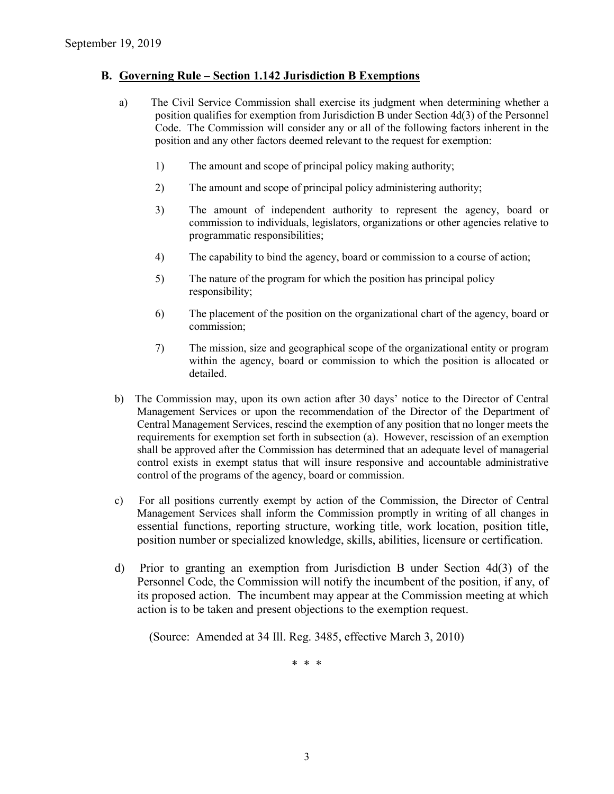#### **B. Governing Rule – Section 1.142 Jurisdiction B Exemptions**

- a) The Civil Service Commission shall exercise its judgment when determining whether a position qualifies for exemption from Jurisdiction B under Section 4d(3) of the Personnel Code. The Commission will consider any or all of the following factors inherent in the position and any other factors deemed relevant to the request for exemption:
	- 1) The amount and scope of principal policy making authority;
	- 2) The amount and scope of principal policy administering authority;
	- 3) The amount of independent authority to represent the agency, board or commission to individuals, legislators, organizations or other agencies relative to programmatic responsibilities;
	- 4) The capability to bind the agency, board or commission to a course of action;
	- 5) The nature of the program for which the position has principal policy responsibility;
	- 6) The placement of the position on the organizational chart of the agency, board or commission;
	- 7) The mission, size and geographical scope of the organizational entity or program within the agency, board or commission to which the position is allocated or detailed.
- b) The Commission may, upon its own action after 30 days' notice to the Director of Central Management Services or upon the recommendation of the Director of the Department of Central Management Services, rescind the exemption of any position that no longer meets the requirements for exemption set forth in subsection (a). However, rescission of an exemption shall be approved after the Commission has determined that an adequate level of managerial control exists in exempt status that will insure responsive and accountable administrative control of the programs of the agency, board or commission.
- c) For all positions currently exempt by action of the Commission, the Director of Central Management Services shall inform the Commission promptly in writing of all changes in essential functions, reporting structure, working title, work location, position title, position number or specialized knowledge, skills, abilities, licensure or certification.
- d) Prior to granting an exemption from Jurisdiction B under Section 4d(3) of the Personnel Code, the Commission will notify the incumbent of the position, if any, of its proposed action. The incumbent may appear at the Commission meeting at which action is to be taken and present objections to the exemption request.

(Source: Amended at 34 Ill. Reg. 3485, effective March 3, 2010)

\* \* \*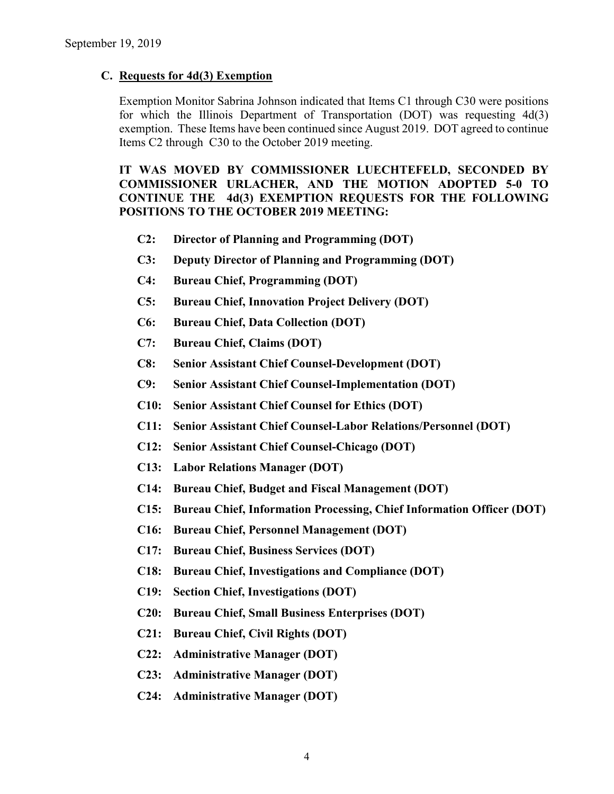#### **C. Requests for 4d(3) Exemption**

Exemption Monitor Sabrina Johnson indicated that Items C1 through C30 were positions for which the Illinois Department of Transportation (DOT) was requesting 4d(3) exemption. These Items have been continued since August 2019. DOT agreed to continue Items C2 through C30 to the October 2019 meeting.

**IT WAS MOVED BY COMMISSIONER LUECHTEFELD, SECONDED BY COMMISSIONER URLACHER, AND THE MOTION ADOPTED 5-0 TO CONTINUE THE 4d(3) EXEMPTION REQUESTS FOR THE FOLLOWING POSITIONS TO THE OCTOBER 2019 MEETING:**

- **C2: Director of Planning and Programming (DOT)**
- **C3: Deputy Director of Planning and Programming (DOT)**
- **C4: Bureau Chief, Programming (DOT)**
- **C5: Bureau Chief, Innovation Project Delivery (DOT)**
- **C6: Bureau Chief, Data Collection (DOT)**
- **C7: Bureau Chief, Claims (DOT)**
- **C8: Senior Assistant Chief Counsel-Development (DOT)**
- **C9: Senior Assistant Chief Counsel-Implementation (DOT)**
- **C10: Senior Assistant Chief Counsel for Ethics (DOT)**
- **C11: Senior Assistant Chief Counsel-Labor Relations/Personnel (DOT)**
- **C12: Senior Assistant Chief Counsel-Chicago (DOT)**
- **C13: Labor Relations Manager (DOT)**
- **C14: Bureau Chief, Budget and Fiscal Management (DOT)**
- **C15: Bureau Chief, Information Processing, Chief Information Officer (DOT)**
- **C16: Bureau Chief, Personnel Management (DOT)**
- **C17: Bureau Chief, Business Services (DOT)**
- **C18: Bureau Chief, Investigations and Compliance (DOT)**
- **C19: Section Chief, Investigations (DOT)**
- **C20: Bureau Chief, Small Business Enterprises (DOT)**
- **C21: Bureau Chief, Civil Rights (DOT)**
- **C22: Administrative Manager (DOT)**
- **C23: Administrative Manager (DOT)**
- **C24: Administrative Manager (DOT)**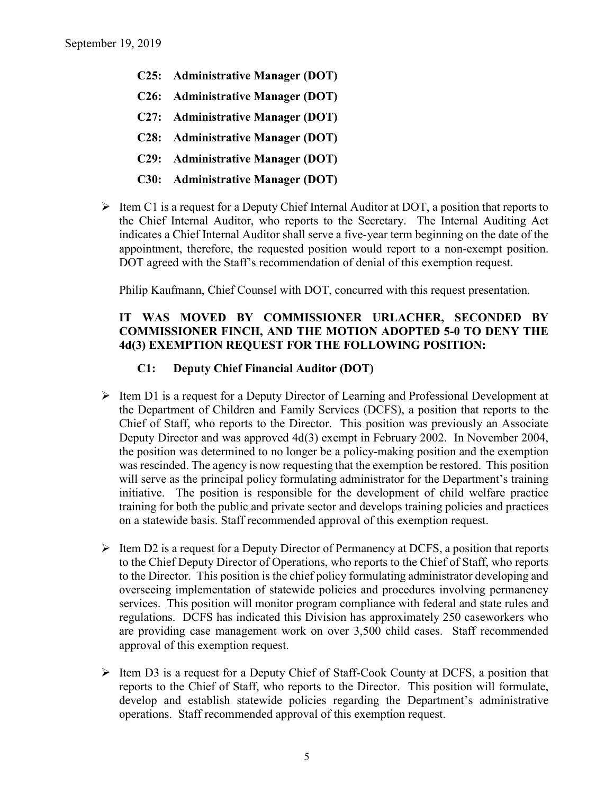- **C25: Administrative Manager (DOT)**
- **C26: Administrative Manager (DOT)**
- **C27: Administrative Manager (DOT)**
- **C28: Administrative Manager (DOT)**
- **C29: Administrative Manager (DOT)**
- **C30: Administrative Manager (DOT)**
- $\triangleright$  Item C1 is a request for a Deputy Chief Internal Auditor at DOT, a position that reports to the Chief Internal Auditor, who reports to the Secretary. The Internal Auditing Act indicates a Chief Internal Auditor shall serve a five-year term beginning on the date of the appointment, therefore, the requested position would report to a non-exempt position. DOT agreed with the Staff's recommendation of denial of this exemption request.

Philip Kaufmann, Chief Counsel with DOT, concurred with this request presentation.

### **IT WAS MOVED BY COMMISSIONER URLACHER, SECONDED BY COMMISSIONER FINCH, AND THE MOTION ADOPTED 5-0 TO DENY THE 4d(3) EXEMPTION REQUEST FOR THE FOLLOWING POSITION:**

### **C1: Deputy Chief Financial Auditor (DOT)**

- $\triangleright$  Item D1 is a request for a Deputy Director of Learning and Professional Development at the Department of Children and Family Services (DCFS), a position that reports to the Chief of Staff, who reports to the Director. This position was previously an Associate Deputy Director and was approved 4d(3) exempt in February 2002. In November 2004, the position was determined to no longer be a policy-making position and the exemption was rescinded. The agency is now requesting that the exemption be restored. This position will serve as the principal policy formulating administrator for the Department's training initiative. The position is responsible for the development of child welfare practice training for both the public and private sector and develops training policies and practices on a statewide basis. Staff recommended approval of this exemption request.
- $\triangleright$  Item D2 is a request for a Deputy Director of Permanency at DCFS, a position that reports to the Chief Deputy Director of Operations, who reports to the Chief of Staff, who reports to the Director. This position is the chief policy formulating administrator developing and overseeing implementation of statewide policies and procedures involving permanency services. This position will monitor program compliance with federal and state rules and regulations. DCFS has indicated this Division has approximately 250 caseworkers who are providing case management work on over 3,500 child cases. Staff recommended approval of this exemption request.
- $\triangleright$  Item D3 is a request for a Deputy Chief of Staff-Cook County at DCFS, a position that reports to the Chief of Staff, who reports to the Director. This position will formulate, develop and establish statewide policies regarding the Department's administrative operations. Staff recommended approval of this exemption request.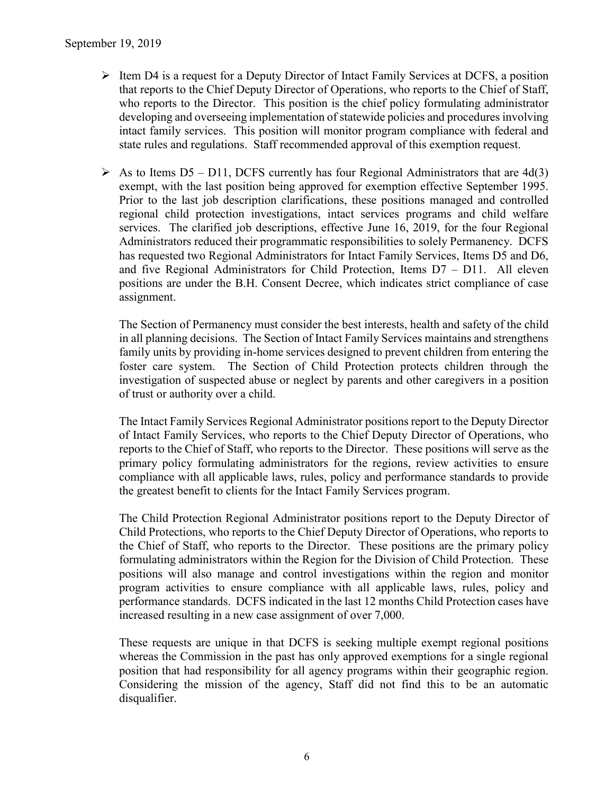- $\triangleright$  Item D4 is a request for a Deputy Director of Intact Family Services at DCFS, a position that reports to the Chief Deputy Director of Operations, who reports to the Chief of Staff, who reports to the Director. This position is the chief policy formulating administrator developing and overseeing implementation of statewide policies and procedures involving intact family services. This position will monitor program compliance with federal and state rules and regulations. Staff recommended approval of this exemption request.
- $\triangleright$  As to Items D5 D11, DCFS currently has four Regional Administrators that are 4d(3) exempt, with the last position being approved for exemption effective September 1995. Prior to the last job description clarifications, these positions managed and controlled regional child protection investigations, intact services programs and child welfare services. The clarified job descriptions, effective June 16, 2019, for the four Regional Administrators reduced their programmatic responsibilities to solely Permanency. DCFS has requested two Regional Administrators for Intact Family Services, Items D5 and D6, and five Regional Administrators for Child Protection, Items D7 – D11. All eleven positions are under the B.H. Consent Decree, which indicates strict compliance of case assignment.

The Section of Permanency must consider the best interests, health and safety of the child in all planning decisions. The Section of Intact Family Services maintains and strengthens family units by providing in-home services designed to prevent children from entering the foster care system. The Section of Child Protection protects children through the investigation of suspected abuse or neglect by parents and other caregivers in a position of trust or authority over a child.

The Intact Family Services Regional Administrator positions report to the Deputy Director of Intact Family Services, who reports to the Chief Deputy Director of Operations, who reports to the Chief of Staff, who reports to the Director. These positions will serve as the primary policy formulating administrators for the regions, review activities to ensure compliance with all applicable laws, rules, policy and performance standards to provide the greatest benefit to clients for the Intact Family Services program.

The Child Protection Regional Administrator positions report to the Deputy Director of Child Protections, who reports to the Chief Deputy Director of Operations, who reports to the Chief of Staff, who reports to the Director. These positions are the primary policy formulating administrators within the Region for the Division of Child Protection. These positions will also manage and control investigations within the region and monitor program activities to ensure compliance with all applicable laws, rules, policy and performance standards. DCFS indicated in the last 12 months Child Protection cases have increased resulting in a new case assignment of over 7,000.

These requests are unique in that DCFS is seeking multiple exempt regional positions whereas the Commission in the past has only approved exemptions for a single regional position that had responsibility for all agency programs within their geographic region. Considering the mission of the agency, Staff did not find this to be an automatic disqualifier.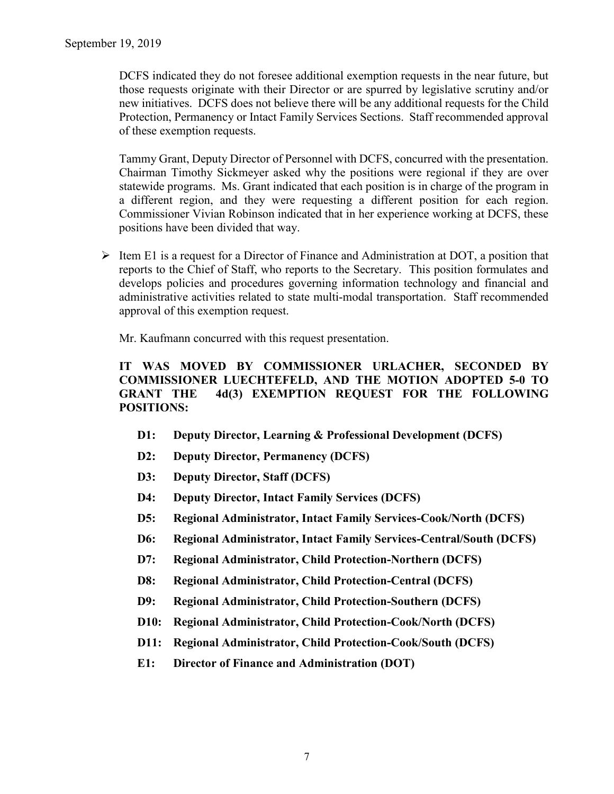DCFS indicated they do not foresee additional exemption requests in the near future, but those requests originate with their Director or are spurred by legislative scrutiny and/or new initiatives. DCFS does not believe there will be any additional requests for the Child Protection, Permanency or Intact Family Services Sections. Staff recommended approval of these exemption requests.

Tammy Grant, Deputy Director of Personnel with DCFS, concurred with the presentation. Chairman Timothy Sickmeyer asked why the positions were regional if they are over statewide programs. Ms. Grant indicated that each position is in charge of the program in a different region, and they were requesting a different position for each region. Commissioner Vivian Robinson indicated that in her experience working at DCFS, these positions have been divided that way.

 $\triangleright$  Item E1 is a request for a Director of Finance and Administration at DOT, a position that reports to the Chief of Staff, who reports to the Secretary. This position formulates and develops policies and procedures governing information technology and financial and administrative activities related to state multi-modal transportation. Staff recommended approval of this exemption request.

Mr. Kaufmann concurred with this request presentation.

### **IT WAS MOVED BY COMMISSIONER URLACHER, SECONDED BY COMMISSIONER LUECHTEFELD, AND THE MOTION ADOPTED 5-0 TO GRANT THE 4d(3) EXEMPTION REQUEST FOR THE FOLLOWING POSITIONS:**

- **D1: Deputy Director, Learning & Professional Development (DCFS)**
- **D2: Deputy Director, Permanency (DCFS)**
- **D3: Deputy Director, Staff (DCFS)**
- **D4: Deputy Director, Intact Family Services (DCFS)**
- **D5: Regional Administrator, Intact Family Services-Cook/North (DCFS)**
- **D6: Regional Administrator, Intact Family Services-Central/South (DCFS)**
- **D7: Regional Administrator, Child Protection-Northern (DCFS)**
- **D8: Regional Administrator, Child Protection-Central (DCFS)**
- **D9: Regional Administrator, Child Protection-Southern (DCFS)**
- **D10: Regional Administrator, Child Protection-Cook/North (DCFS)**
- **D11: Regional Administrator, Child Protection-Cook/South (DCFS)**
- **E1: Director of Finance and Administration (DOT)**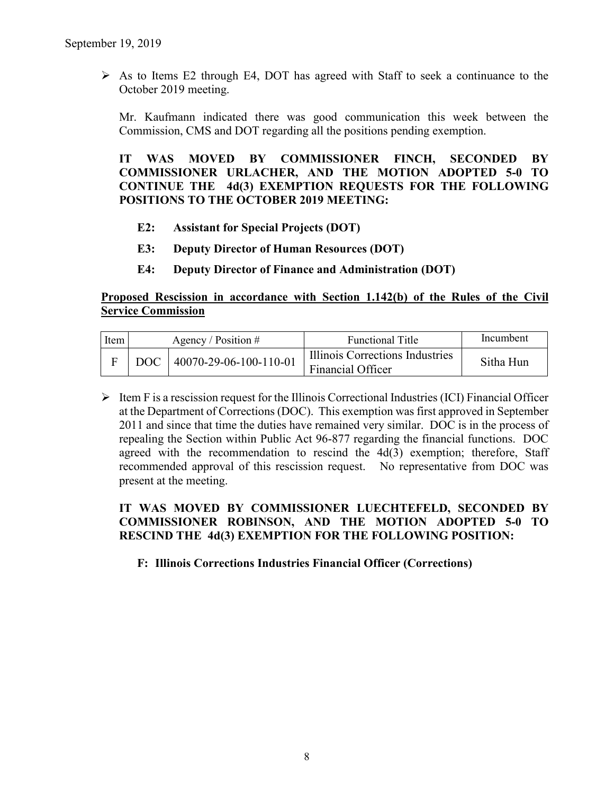$\triangleright$  As to Items E2 through E4, DOT has agreed with Staff to seek a continuance to the October 2019 meeting.

Mr. Kaufmann indicated there was good communication this week between the Commission, CMS and DOT regarding all the positions pending exemption.

**IT WAS MOVED BY COMMISSIONER FINCH, SECONDED BY COMMISSIONER URLACHER, AND THE MOTION ADOPTED 5-0 TO CONTINUE THE 4d(3) EXEMPTION REQUESTS FOR THE FOLLOWING POSITIONS TO THE OCTOBER 2019 MEETING:**

- **E2: Assistant for Special Projects (DOT)**
- **E3: Deputy Director of Human Resources (DOT)**
- **E4: Deputy Director of Finance and Administration (DOT)**

### **Proposed Rescission in accordance with Section 1.142(b) of the Rules of the Civil Service Commission**

| Item | Agency / Position $#$          | <b>Functional Title</b>                              | Incumbent |
|------|--------------------------------|------------------------------------------------------|-----------|
|      | DOC   $40070-29-06-100-110-01$ | Illinois Corrections Industries<br>Financial Officer | Sitha Hun |

 $\triangleright$  Item F is a rescission request for the Illinois Correctional Industries (ICI) Financial Officer at the Department of Corrections (DOC). This exemption was first approved in September 2011 and since that time the duties have remained very similar. DOC is in the process of repealing the Section within Public Act 96-877 regarding the financial functions. DOC agreed with the recommendation to rescind the  $4d(3)$  exemption; therefore, Staff recommended approval of this rescission request. No representative from DOC was present at the meeting.

### **IT WAS MOVED BY COMMISSIONER LUECHTEFELD, SECONDED BY COMMISSIONER ROBINSON, AND THE MOTION ADOPTED 5-0 TO RESCIND THE 4d(3) EXEMPTION FOR THE FOLLOWING POSITION:**

### **F: Illinois Corrections Industries Financial Officer (Corrections)**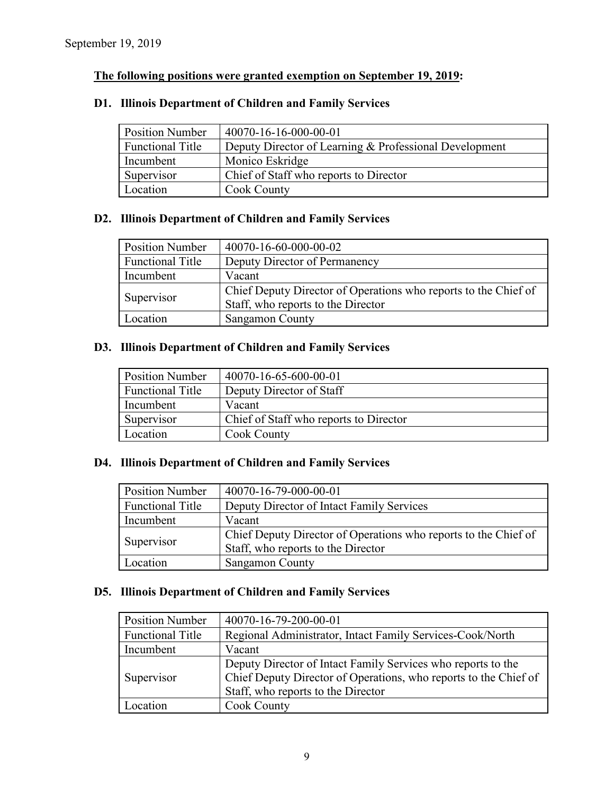# **The following positions were granted exemption on September 19, 2019:**

### **D1. Illinois Department of Children and Family Services**

| <b>Position Number</b>  | 40070-16-16-000-00-01                                  |
|-------------------------|--------------------------------------------------------|
| <b>Functional Title</b> | Deputy Director of Learning & Professional Development |
| Incumbent               | Monico Eskridge                                        |
| Supervisor              | Chief of Staff who reports to Director                 |
| Location                | <b>Cook County</b>                                     |

### **D2. Illinois Department of Children and Family Services**

| <b>Position Number</b>  | 40070-16-60-000-00-02                                           |
|-------------------------|-----------------------------------------------------------------|
| <b>Functional Title</b> | Deputy Director of Permanency                                   |
| Incumbent               | Vacant                                                          |
| Supervisor              | Chief Deputy Director of Operations who reports to the Chief of |
|                         | Staff, who reports to the Director                              |
| Location                | <b>Sangamon County</b>                                          |

### **D3. Illinois Department of Children and Family Services**

| <b>Position Number</b>  | 40070-16-65-600-00-01                  |
|-------------------------|----------------------------------------|
| <b>Functional Title</b> | Deputy Director of Staff               |
| Incumbent               | Vacant                                 |
| Supervisor              | Chief of Staff who reports to Director |
| Location                | <b>Cook County</b>                     |

### **D4. Illinois Department of Children and Family Services**

| <b>Position Number</b>  | 40070-16-79-000-00-01                                           |
|-------------------------|-----------------------------------------------------------------|
| <b>Functional Title</b> | Deputy Director of Intact Family Services                       |
| Incumbent               | Vacant                                                          |
| Supervisor              | Chief Deputy Director of Operations who reports to the Chief of |
|                         | Staff, who reports to the Director                              |
| Location                | Sangamon County                                                 |

### **D5. Illinois Department of Children and Family Services**

| <b>Position Number</b>  | 40070-16-79-200-00-01                                                                                                                                                  |
|-------------------------|------------------------------------------------------------------------------------------------------------------------------------------------------------------------|
| <b>Functional Title</b> | Regional Administrator, Intact Family Services-Cook/North                                                                                                              |
| Incumbent               | Vacant                                                                                                                                                                 |
| Supervisor              | Deputy Director of Intact Family Services who reports to the<br>Chief Deputy Director of Operations, who reports to the Chief of<br>Staff, who reports to the Director |
| Location                | <b>Cook County</b>                                                                                                                                                     |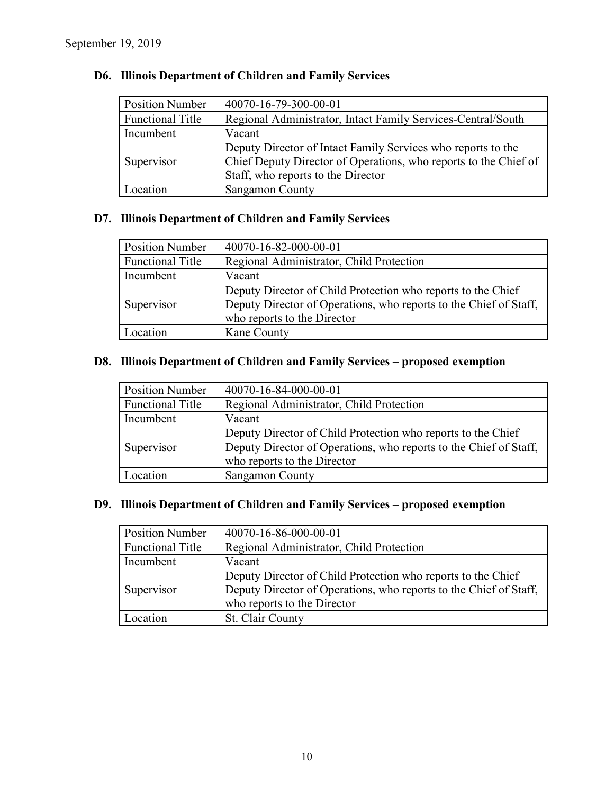| <b>Position Number</b>  | 40070-16-79-300-00-01                                            |
|-------------------------|------------------------------------------------------------------|
| <b>Functional Title</b> | Regional Administrator, Intact Family Services-Central/South     |
| Incumbent               | Vacant                                                           |
| Supervisor              | Deputy Director of Intact Family Services who reports to the     |
|                         | Chief Deputy Director of Operations, who reports to the Chief of |
|                         | Staff, who reports to the Director                               |
| Location                | Sangamon County                                                  |

### **D6. Illinois Department of Children and Family Services**

# **D7. Illinois Department of Children and Family Services**

| <b>Position Number</b>  | 40070-16-82-000-00-01                                             |
|-------------------------|-------------------------------------------------------------------|
| <b>Functional Title</b> | Regional Administrator, Child Protection                          |
| Incumbent               | Vacant                                                            |
|                         | Deputy Director of Child Protection who reports to the Chief      |
| Supervisor              | Deputy Director of Operations, who reports to the Chief of Staff, |
|                         | who reports to the Director                                       |
| Location                | Kane County                                                       |

# **D8. Illinois Department of Children and Family Services – proposed exemption**

| <b>Position Number</b>  | 40070-16-84-000-00-01                                                                                                                                            |
|-------------------------|------------------------------------------------------------------------------------------------------------------------------------------------------------------|
| <b>Functional Title</b> | Regional Administrator, Child Protection                                                                                                                         |
| Incumbent               | Vacant                                                                                                                                                           |
| Supervisor              | Deputy Director of Child Protection who reports to the Chief<br>Deputy Director of Operations, who reports to the Chief of Staff,<br>who reports to the Director |
| ocation                 | <b>Sangamon County</b>                                                                                                                                           |

### **D9. Illinois Department of Children and Family Services – proposed exemption**

| <b>Position Number</b>  | 40070-16-86-000-00-01                                                                                                                                            |
|-------------------------|------------------------------------------------------------------------------------------------------------------------------------------------------------------|
| <b>Functional Title</b> | Regional Administrator, Child Protection                                                                                                                         |
| Incumbent               | Vacant                                                                                                                                                           |
| Supervisor              | Deputy Director of Child Protection who reports to the Chief<br>Deputy Director of Operations, who reports to the Chief of Staff,<br>who reports to the Director |
| Location                | St. Clair County                                                                                                                                                 |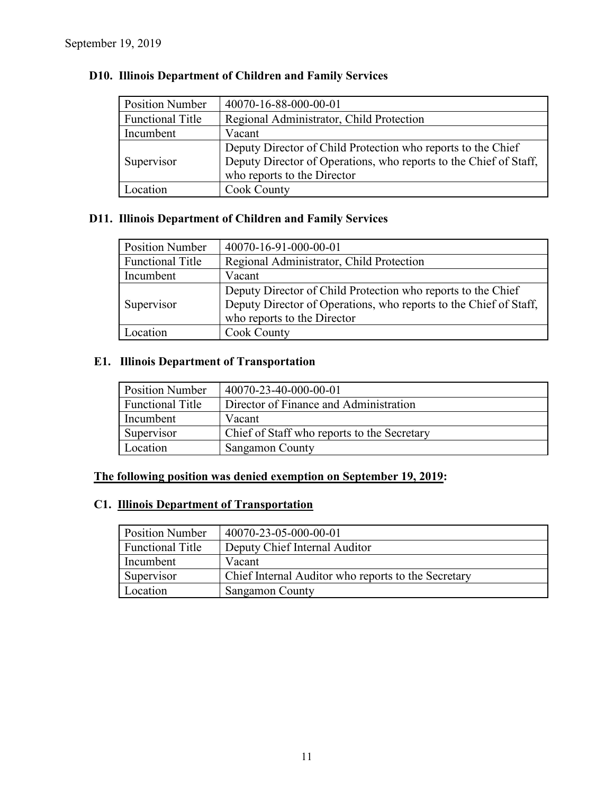| <b>Position Number</b>  | 40070-16-88-000-00-01                                             |
|-------------------------|-------------------------------------------------------------------|
| <b>Functional Title</b> | Regional Administrator, Child Protection                          |
| Incumbent               | Vacant                                                            |
|                         | Deputy Director of Child Protection who reports to the Chief      |
| Supervisor              | Deputy Director of Operations, who reports to the Chief of Staff, |
|                         | who reports to the Director                                       |
| .ocation                | <b>Cook County</b>                                                |

# **D10. Illinois Department of Children and Family Services**

# **D11. Illinois Department of Children and Family Services**

| <b>Position Number</b>  | 40070-16-91-000-00-01                                                                                                             |
|-------------------------|-----------------------------------------------------------------------------------------------------------------------------------|
| <b>Functional Title</b> | Regional Administrator, Child Protection                                                                                          |
| Incumbent               | Vacant                                                                                                                            |
| Supervisor              | Deputy Director of Child Protection who reports to the Chief<br>Deputy Director of Operations, who reports to the Chief of Staff, |
|                         | who reports to the Director                                                                                                       |
| Location.               | Cook County                                                                                                                       |

# **E1. Illinois Department of Transportation**

| <b>Position Number</b>  | 40070-23-40-000-00-01                       |
|-------------------------|---------------------------------------------|
| <b>Functional Title</b> | Director of Finance and Administration      |
| Incumbent               | Vacant                                      |
| Supervisor              | Chief of Staff who reports to the Secretary |
| Location                | <b>Sangamon County</b>                      |

# **The following position was denied exemption on September 19, 2019:**

# **C1. Illinois Department of Transportation**

| <b>Position Number</b>  | 40070-23-05-000-00-01                               |
|-------------------------|-----------------------------------------------------|
| <b>Functional Title</b> | Deputy Chief Internal Auditor                       |
| Incumbent               | Vacant                                              |
| Supervisor              | Chief Internal Auditor who reports to the Secretary |
| Location                | <b>Sangamon County</b>                              |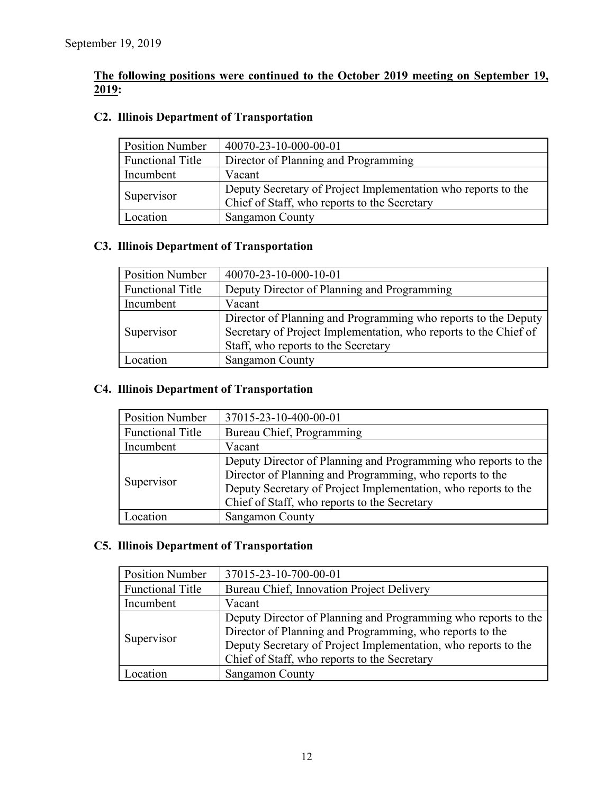### **The following positions were continued to the October 2019 meeting on September 19, 2019:**

# **C2. Illinois Department of Transportation**

| <b>Position Number</b>  | 40070-23-10-000-00-01                                                                                         |
|-------------------------|---------------------------------------------------------------------------------------------------------------|
| <b>Functional Title</b> | Director of Planning and Programming                                                                          |
| Incumbent               | Vacant                                                                                                        |
| Supervisor              | Deputy Secretary of Project Implementation who reports to the<br>Chief of Staff, who reports to the Secretary |
| Location                | Sangamon County                                                                                               |

### **C3. Illinois Department of Transportation**

| <b>Position Number</b>  | 40070-23-10-000-10-01                                                                                                                                                     |
|-------------------------|---------------------------------------------------------------------------------------------------------------------------------------------------------------------------|
| <b>Functional Title</b> | Deputy Director of Planning and Programming                                                                                                                               |
| Incumbent               | Vacant                                                                                                                                                                    |
| Supervisor              | Director of Planning and Programming who reports to the Deputy<br>Secretary of Project Implementation, who reports to the Chief of<br>Staff, who reports to the Secretary |
| Location                | <b>Sangamon County</b>                                                                                                                                                    |

### **C4. Illinois Department of Transportation**

| <b>Position Number</b>  | 37015-23-10-400-00-01                                          |
|-------------------------|----------------------------------------------------------------|
| <b>Functional Title</b> | Bureau Chief, Programming                                      |
| Incumbent               | Vacant                                                         |
| Supervisor              | Deputy Director of Planning and Programming who reports to the |
|                         | Director of Planning and Programming, who reports to the       |
|                         | Deputy Secretary of Project Implementation, who reports to the |
|                         | Chief of Staff, who reports to the Secretary                   |
| ocation                 | <b>Sangamon County</b>                                         |

### **C5. Illinois Department of Transportation**

| <b>Position Number</b>  | 37015-23-10-700-00-01                                          |
|-------------------------|----------------------------------------------------------------|
| <b>Functional Title</b> | Bureau Chief, Innovation Project Delivery                      |
| Incumbent               | Vacant                                                         |
| Supervisor              | Deputy Director of Planning and Programming who reports to the |
|                         | Director of Planning and Programming, who reports to the       |
|                         | Deputy Secretary of Project Implementation, who reports to the |
|                         | Chief of Staff, who reports to the Secretary                   |
| $\alpha$ cation         | <b>Sangamon County</b>                                         |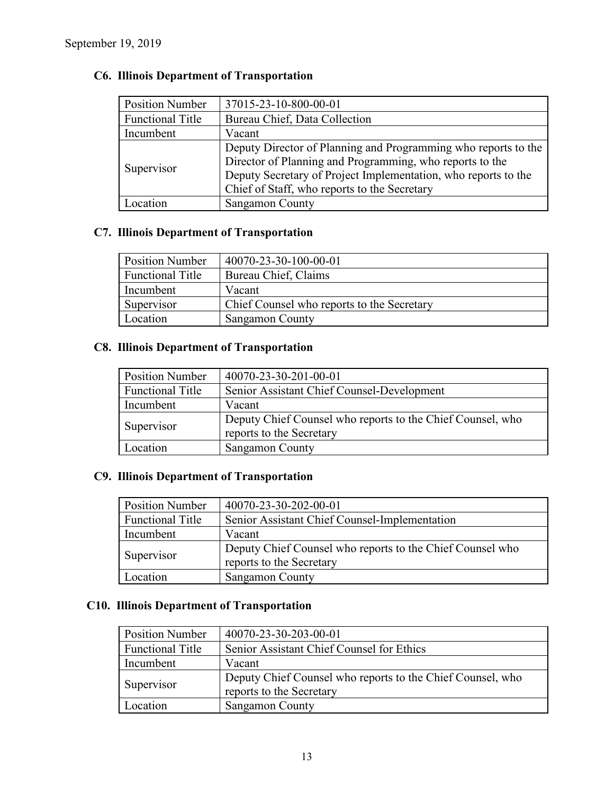| <b>Position Number</b>  | 37015-23-10-800-00-01                                          |
|-------------------------|----------------------------------------------------------------|
| <b>Functional Title</b> | Bureau Chief, Data Collection                                  |
| Incumbent               | Vacant                                                         |
| Supervisor              | Deputy Director of Planning and Programming who reports to the |
|                         | Director of Planning and Programming, who reports to the       |
|                         | Deputy Secretary of Project Implementation, who reports to the |
|                         | Chief of Staff, who reports to the Secretary                   |
| ocation                 | <b>Sangamon County</b>                                         |

# **C6. Illinois Department of Transportation**

### **C7. Illinois Department of Transportation**

| <b>Position Number</b> | 40070-23-30-100-00-01                      |
|------------------------|--------------------------------------------|
| Functional Title       | Bureau Chief, Claims                       |
| Incumbent              | Vacant                                     |
| Supervisor             | Chief Counsel who reports to the Secretary |
| Location               | Sangamon County                            |

### **C8. Illinois Department of Transportation**

| <b>Position Number</b>  | 40070-23-30-201-00-01                                                                  |
|-------------------------|----------------------------------------------------------------------------------------|
| <b>Functional Title</b> | Senior Assistant Chief Counsel-Development                                             |
| Incumbent               | Vacant                                                                                 |
| Supervisor              | Deputy Chief Counsel who reports to the Chief Counsel, who<br>reports to the Secretary |
| Location                | Sangamon County                                                                        |

# **C9. Illinois Department of Transportation**

| <b>Position Number</b>  | 40070-23-30-202-00-01                                                                 |
|-------------------------|---------------------------------------------------------------------------------------|
| <b>Functional Title</b> | Senior Assistant Chief Counsel-Implementation                                         |
| Incumbent               | Vacant                                                                                |
| Supervisor              | Deputy Chief Counsel who reports to the Chief Counsel who<br>reports to the Secretary |
| Location                | Sangamon County                                                                       |

# **C10. Illinois Department of Transportation**

| <b>Position Number</b>  | 40070-23-30-203-00-01                                                                  |
|-------------------------|----------------------------------------------------------------------------------------|
| <b>Functional Title</b> | Senior Assistant Chief Counsel for Ethics                                              |
| Incumbent               | Vacant                                                                                 |
| Supervisor              | Deputy Chief Counsel who reports to the Chief Counsel, who<br>reports to the Secretary |
| Location                | Sangamon County                                                                        |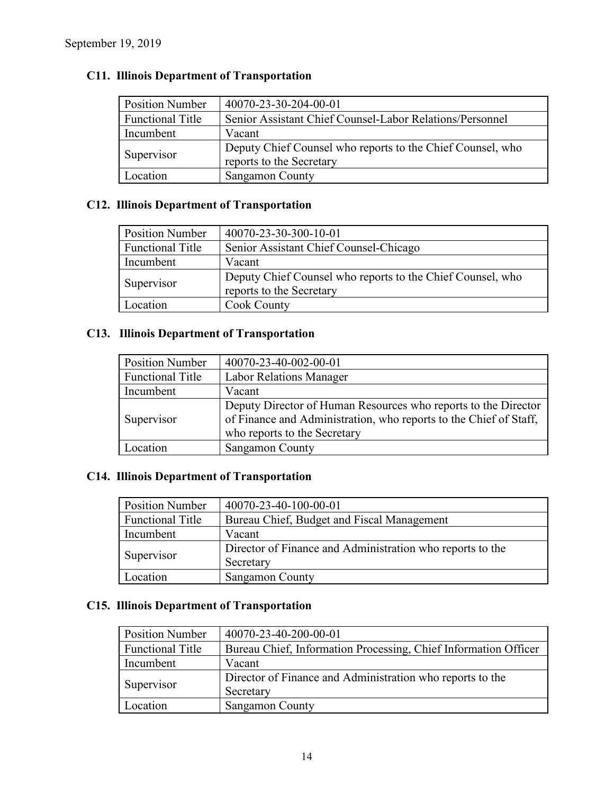| <b>Position Number</b>  | 40070-23-30-204-00-01                                                                  |
|-------------------------|----------------------------------------------------------------------------------------|
| <b>Functional Title</b> | Senior Assistant Chief Counsel-Labor Relations/Personnel                               |
| Incumbent               | Vacant                                                                                 |
| Supervisor              | Deputy Chief Counsel who reports to the Chief Counsel, who<br>reports to the Secretary |
| Location                | <b>Sangamon County</b>                                                                 |

# **C11. Illinois Department of Transportation**

### **C12. Illinois Department of Transportation**

| <b>Position Number</b>  | 40070-23-30-300-10-01                                                                  |
|-------------------------|----------------------------------------------------------------------------------------|
| <b>Functional Title</b> | Senior Assistant Chief Counsel-Chicago                                                 |
| Incumbent               | Vacant                                                                                 |
| Supervisor              | Deputy Chief Counsel who reports to the Chief Counsel, who<br>reports to the Secretary |
| Location                | <b>Cook County</b>                                                                     |

# **C13. Illinois Department of Transportation**

| <b>Position Number</b>  | 40070-23-40-002-00-01                                                                                                                                               |
|-------------------------|---------------------------------------------------------------------------------------------------------------------------------------------------------------------|
| <b>Functional Title</b> | <b>Labor Relations Manager</b>                                                                                                                                      |
| Incumbent               | Vacant                                                                                                                                                              |
| Supervisor              | Deputy Director of Human Resources who reports to the Director<br>of Finance and Administration, who reports to the Chief of Staff,<br>who reports to the Secretary |
| Location                | Sangamon County                                                                                                                                                     |

# **C14. Illinois Department of Transportation**

| <b>Position Number</b>  | 40070-23-40-100-00-01                                     |
|-------------------------|-----------------------------------------------------------|
| <b>Functional Title</b> | Bureau Chief, Budget and Fiscal Management                |
| Incumbent               | Vacant                                                    |
| Supervisor              | Director of Finance and Administration who reports to the |
|                         | Secretary                                                 |
| Location                | Sangamon County                                           |

# **C15. Illinois Department of Transportation**

| <b>Position Number</b>  | 40070-23-40-200-00-01                                           |
|-------------------------|-----------------------------------------------------------------|
| <b>Functional Title</b> | Bureau Chief, Information Processing, Chief Information Officer |
| Incumbent               | Vacant                                                          |
| Supervisor              | Director of Finance and Administration who reports to the       |
|                         | Secretary                                                       |
| Location                | Sangamon County                                                 |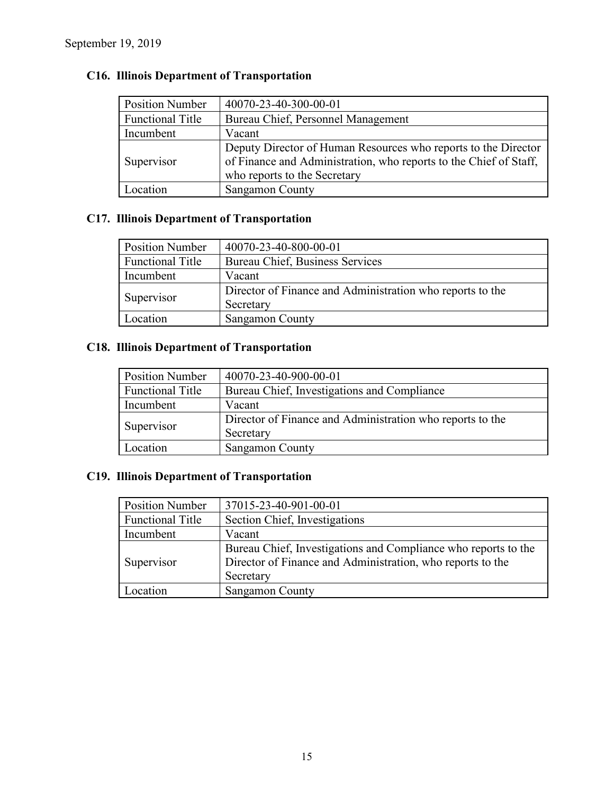| <b>Position Number</b>  | 40070-23-40-300-00-01                                                                                                                                               |
|-------------------------|---------------------------------------------------------------------------------------------------------------------------------------------------------------------|
| <b>Functional Title</b> | Bureau Chief, Personnel Management                                                                                                                                  |
| Incumbent               | Vacant                                                                                                                                                              |
| Supervisor              | Deputy Director of Human Resources who reports to the Director<br>of Finance and Administration, who reports to the Chief of Staff,<br>who reports to the Secretary |
| ocation                 | Sangamon County                                                                                                                                                     |

# **C16. Illinois Department of Transportation**

# **C17. Illinois Department of Transportation**

| <b>Position Number</b>  | 40070-23-40-800-00-01                                     |
|-------------------------|-----------------------------------------------------------|
| <b>Functional Title</b> | Bureau Chief, Business Services                           |
| Incumbent               | Vacant                                                    |
| Supervisor              | Director of Finance and Administration who reports to the |
|                         | Secretary                                                 |
| <i>c</i> ocation        | <b>Sangamon County</b>                                    |

# **C18. Illinois Department of Transportation**

| <b>Position Number</b>  | 40070-23-40-900-00-01                                     |
|-------------------------|-----------------------------------------------------------|
| <b>Functional Title</b> | Bureau Chief, Investigations and Compliance               |
| Incumbent               | Vacant                                                    |
| Supervisor              | Director of Finance and Administration who reports to the |
|                         | Secretary                                                 |
| Location                | <b>Sangamon County</b>                                    |

# **C19. Illinois Department of Transportation**

| <b>Position Number</b> | 37015-23-40-901-00-01                                          |
|------------------------|----------------------------------------------------------------|
| Functional Title       | Section Chief, Investigations                                  |
| Incumbent              | Vacant                                                         |
|                        | Bureau Chief, Investigations and Compliance who reports to the |
| Supervisor             | Director of Finance and Administration, who reports to the     |
|                        | Secretary                                                      |
| Location.              | Sangamon County                                                |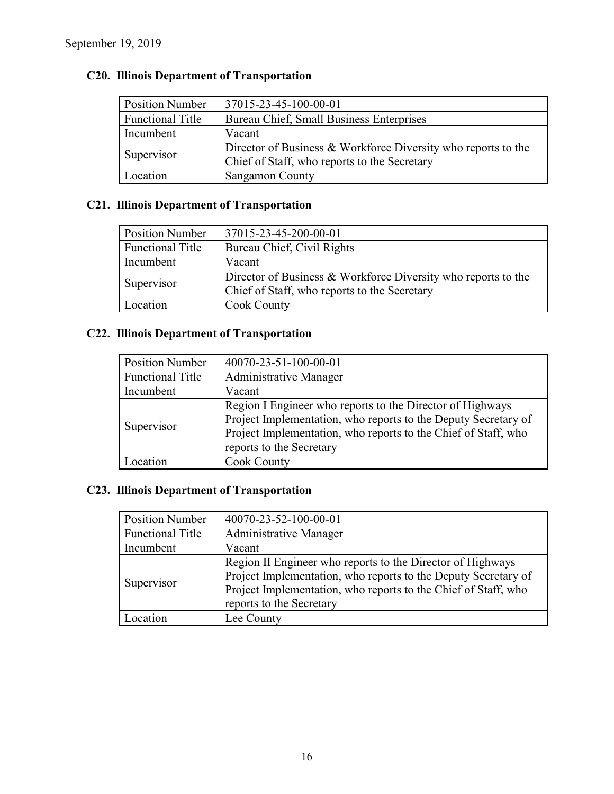| <b>Position Number</b>  | 37015-23-45-100-00-01                                         |
|-------------------------|---------------------------------------------------------------|
| <b>Functional Title</b> | Bureau Chief, Small Business Enterprises                      |
| Incumbent               | Vacant                                                        |
| Supervisor              | Director of Business & Workforce Diversity who reports to the |
|                         | Chief of Staff, who reports to the Secretary                  |
| Location                | <b>Sangamon County</b>                                        |

# **C20. Illinois Department of Transportation**

# **C21. Illinois Department of Transportation**

| <b>Position Number</b>  | 37015-23-45-200-00-01                                         |
|-------------------------|---------------------------------------------------------------|
| <b>Functional Title</b> | Bureau Chief, Civil Rights                                    |
| Incumbent               | Vacant                                                        |
| Supervisor              | Director of Business & Workforce Diversity who reports to the |
|                         | Chief of Staff, who reports to the Secretary                  |
| Location                | <b>Cook County</b>                                            |

# **C22. Illinois Department of Transportation**

| <b>Position Number</b>  | 40070-23-51-100-00-01                                                                                                                                                                                                     |
|-------------------------|---------------------------------------------------------------------------------------------------------------------------------------------------------------------------------------------------------------------------|
| <b>Functional Title</b> | Administrative Manager                                                                                                                                                                                                    |
| Incumbent               | Vacant                                                                                                                                                                                                                    |
| Supervisor              | Region I Engineer who reports to the Director of Highways<br>Project Implementation, who reports to the Deputy Secretary of<br>Project Implementation, who reports to the Chief of Staff, who<br>reports to the Secretary |
| Location                | Cook County                                                                                                                                                                                                               |

# **C23. Illinois Department of Transportation**

| <b>Position Number</b>  | 40070-23-52-100-00-01                                                                                                                                                                                                      |  |  |
|-------------------------|----------------------------------------------------------------------------------------------------------------------------------------------------------------------------------------------------------------------------|--|--|
| <b>Functional Title</b> | Administrative Manager                                                                                                                                                                                                     |  |  |
| Incumbent               | Vacant                                                                                                                                                                                                                     |  |  |
| Supervisor              | Region II Engineer who reports to the Director of Highways<br>Project Implementation, who reports to the Deputy Secretary of<br>Project Implementation, who reports to the Chief of Staff, who<br>reports to the Secretary |  |  |
| Location.               | Lee County                                                                                                                                                                                                                 |  |  |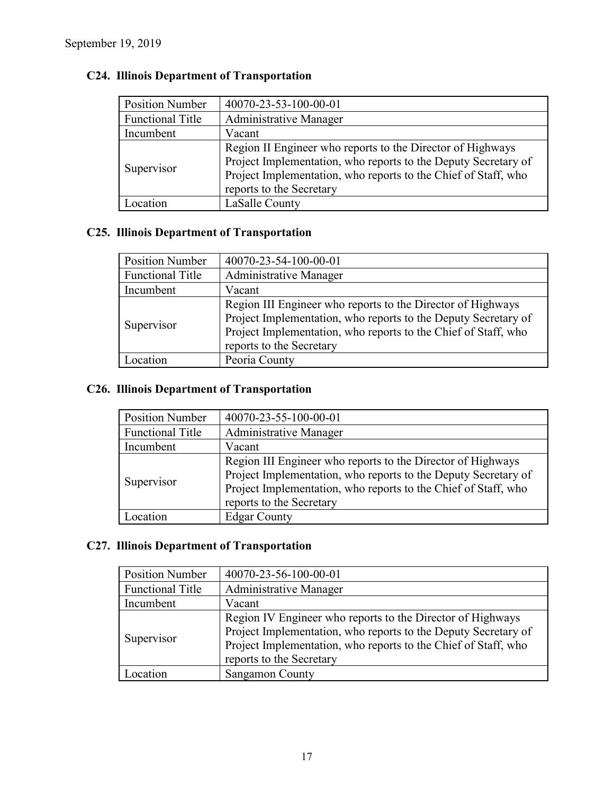| <b>Position Number</b>  | 40070-23-53-100-00-01                                                                                                                                                                                                      |  |  |
|-------------------------|----------------------------------------------------------------------------------------------------------------------------------------------------------------------------------------------------------------------------|--|--|
| <b>Functional Title</b> | <b>Administrative Manager</b>                                                                                                                                                                                              |  |  |
| Incumbent               | Vacant                                                                                                                                                                                                                     |  |  |
| Supervisor              | Region II Engineer who reports to the Director of Highways<br>Project Implementation, who reports to the Deputy Secretary of<br>Project Implementation, who reports to the Chief of Staff, who<br>reports to the Secretary |  |  |
| <b>Contraction</b>      | LaSalle County                                                                                                                                                                                                             |  |  |

# **C24. Illinois Department of Transportation**

### **C25. Illinois Department of Transportation**

| <b>Position Number</b>  | 40070-23-54-100-00-01                                                                                                                                                                                                       |  |  |  |
|-------------------------|-----------------------------------------------------------------------------------------------------------------------------------------------------------------------------------------------------------------------------|--|--|--|
| <b>Functional Title</b> | <b>Administrative Manager</b>                                                                                                                                                                                               |  |  |  |
| Incumbent               | Vacant                                                                                                                                                                                                                      |  |  |  |
| Supervisor              | Region III Engineer who reports to the Director of Highways<br>Project Implementation, who reports to the Deputy Secretary of<br>Project Implementation, who reports to the Chief of Staff, who<br>reports to the Secretary |  |  |  |
| Location                | Peoria County                                                                                                                                                                                                               |  |  |  |

# **C26. Illinois Department of Transportation**

| <b>Position Number</b>  | 40070-23-55-100-00-01                                                                                                                                                                                                       |  |  |
|-------------------------|-----------------------------------------------------------------------------------------------------------------------------------------------------------------------------------------------------------------------------|--|--|
| <b>Functional Title</b> | Administrative Manager                                                                                                                                                                                                      |  |  |
| Incumbent               | Vacant                                                                                                                                                                                                                      |  |  |
| Supervisor              | Region III Engineer who reports to the Director of Highways<br>Project Implementation, who reports to the Deputy Secretary of<br>Project Implementation, who reports to the Chief of Staff, who<br>reports to the Secretary |  |  |
| ocation                 | <b>Edgar County</b>                                                                                                                                                                                                         |  |  |

### **C27. Illinois Department of Transportation**

| <b>Position Number</b>  | 40070-23-56-100-00-01                                                                                                                                                                                                      |  |  |
|-------------------------|----------------------------------------------------------------------------------------------------------------------------------------------------------------------------------------------------------------------------|--|--|
| <b>Functional Title</b> | Administrative Manager                                                                                                                                                                                                     |  |  |
| Incumbent               | Vacant                                                                                                                                                                                                                     |  |  |
| Supervisor              | Region IV Engineer who reports to the Director of Highways<br>Project Implementation, who reports to the Deputy Secretary of<br>Project Implementation, who reports to the Chief of Staff, who<br>reports to the Secretary |  |  |
| .ocation                | Sangamon County                                                                                                                                                                                                            |  |  |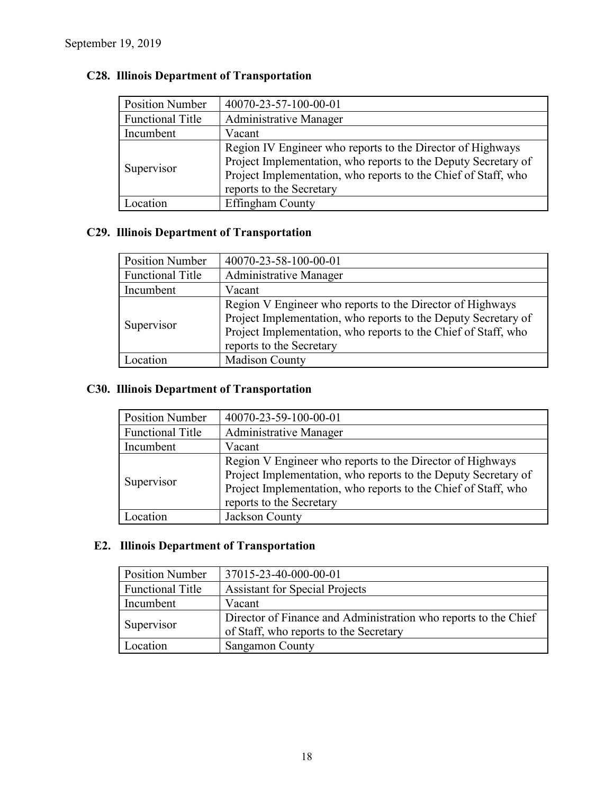| <b>Position Number</b>  | 40070-23-57-100-00-01                                                                                                                                                                                                      |  |  |  |
|-------------------------|----------------------------------------------------------------------------------------------------------------------------------------------------------------------------------------------------------------------------|--|--|--|
| <b>Functional Title</b> | Administrative Manager                                                                                                                                                                                                     |  |  |  |
| Incumbent               | Vacant                                                                                                                                                                                                                     |  |  |  |
| Supervisor              | Region IV Engineer who reports to the Director of Highways<br>Project Implementation, who reports to the Deputy Secretary of<br>Project Implementation, who reports to the Chief of Staff, who<br>reports to the Secretary |  |  |  |
| .ocation                | Effingham County                                                                                                                                                                                                           |  |  |  |

# **C28. Illinois Department of Transportation**

### **C29. Illinois Department of Transportation**

| <b>Position Number</b>  | 40070-23-58-100-00-01                                                                                                                                                                                                     |  |  |  |
|-------------------------|---------------------------------------------------------------------------------------------------------------------------------------------------------------------------------------------------------------------------|--|--|--|
| <b>Functional Title</b> | <b>Administrative Manager</b>                                                                                                                                                                                             |  |  |  |
| Incumbent               | Vacant                                                                                                                                                                                                                    |  |  |  |
| Supervisor              | Region V Engineer who reports to the Director of Highways<br>Project Implementation, who reports to the Deputy Secretary of<br>Project Implementation, who reports to the Chief of Staff, who<br>reports to the Secretary |  |  |  |
| <b>Location</b>         | <b>Madison County</b>                                                                                                                                                                                                     |  |  |  |

# **C30. Illinois Department of Transportation**

| <b>Position Number</b>  | 40070-23-59-100-00-01                                                                                                                                                                                                     |  |  |
|-------------------------|---------------------------------------------------------------------------------------------------------------------------------------------------------------------------------------------------------------------------|--|--|
| <b>Functional Title</b> | Administrative Manager                                                                                                                                                                                                    |  |  |
| Incumbent               | Vacant                                                                                                                                                                                                                    |  |  |
| Supervisor              | Region V Engineer who reports to the Director of Highways<br>Project Implementation, who reports to the Deputy Secretary of<br>Project Implementation, who reports to the Chief of Staff, who<br>reports to the Secretary |  |  |
| ocation                 | Jackson County                                                                                                                                                                                                            |  |  |

### **E2. Illinois Department of Transportation**

| <b>Position Number</b>  | 37015-23-40-000-00-01                                           |  |  |
|-------------------------|-----------------------------------------------------------------|--|--|
| <b>Functional Title</b> | <b>Assistant for Special Projects</b>                           |  |  |
| Incumbent               | Vacant                                                          |  |  |
| Supervisor              | Director of Finance and Administration who reports to the Chief |  |  |
|                         | of Staff, who reports to the Secretary                          |  |  |
| Location                | <b>Sangamon County</b>                                          |  |  |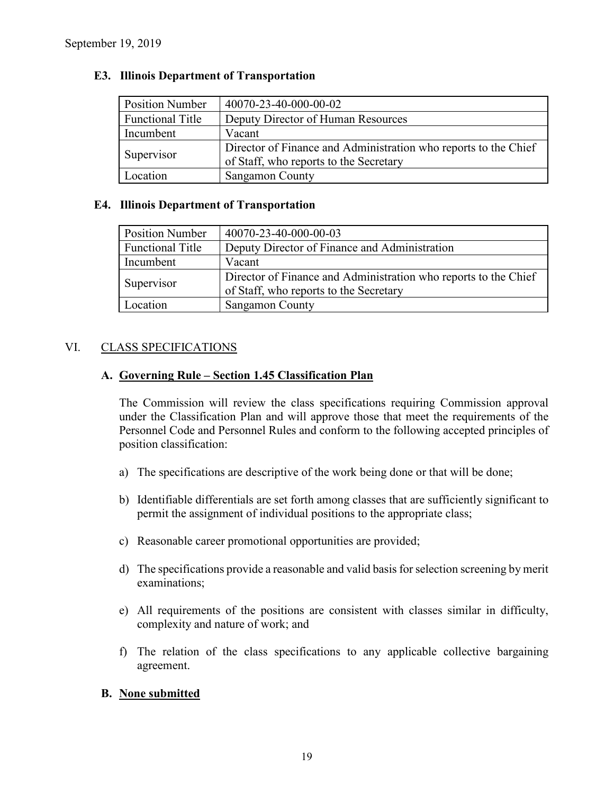| <b>Position Number</b>  | 40070-23-40-000-00-02                                                                                     |  |  |
|-------------------------|-----------------------------------------------------------------------------------------------------------|--|--|
| <b>Functional Title</b> | Deputy Director of Human Resources                                                                        |  |  |
| Incumbent               | Vacant                                                                                                    |  |  |
| Supervisor              | Director of Finance and Administration who reports to the Chief<br>of Staff, who reports to the Secretary |  |  |
| <i>L</i> ocation        | <b>Sangamon County</b>                                                                                    |  |  |

#### **E3. Illinois Department of Transportation**

#### **E4. Illinois Department of Transportation**

| <b>Position Number</b>  | 40070-23-40-000-00-03                                           |  |  |
|-------------------------|-----------------------------------------------------------------|--|--|
| <b>Functional Title</b> | Deputy Director of Finance and Administration                   |  |  |
| Incumbent               | Vacant                                                          |  |  |
| Supervisor              | Director of Finance and Administration who reports to the Chief |  |  |
|                         | of Staff, who reports to the Secretary                          |  |  |
| Location                | <b>Sangamon County</b>                                          |  |  |

### VI. CLASS SPECIFICATIONS

#### **A. Governing Rule – Section 1.45 Classification Plan**

The Commission will review the class specifications requiring Commission approval under the Classification Plan and will approve those that meet the requirements of the Personnel Code and Personnel Rules and conform to the following accepted principles of position classification:

- a) The specifications are descriptive of the work being done or that will be done;
- b) Identifiable differentials are set forth among classes that are sufficiently significant to permit the assignment of individual positions to the appropriate class;
- c) Reasonable career promotional opportunities are provided;
- d) The specifications provide a reasonable and valid basis for selection screening by merit examinations;
- e) All requirements of the positions are consistent with classes similar in difficulty, complexity and nature of work; and
- f) The relation of the class specifications to any applicable collective bargaining agreement.

#### **B. None submitted**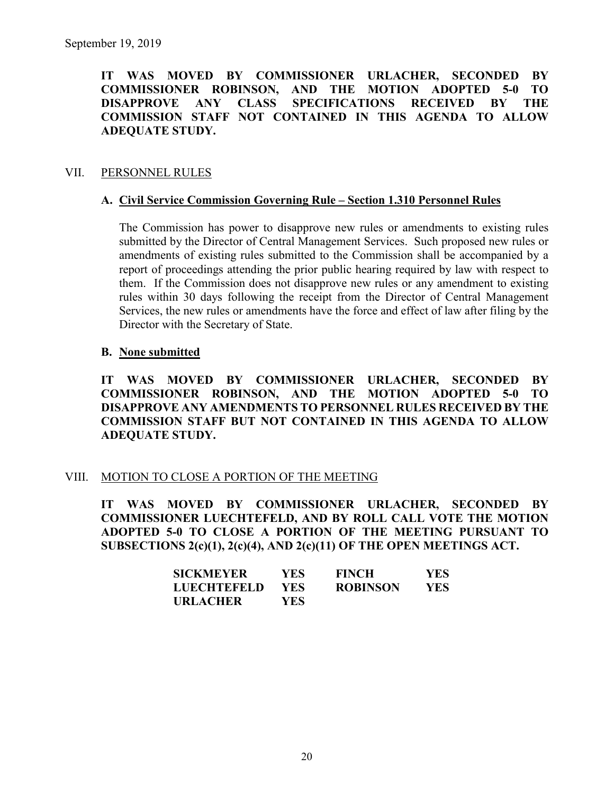**IT WAS MOVED BY COMMISSIONER URLACHER, SECONDED BY COMMISSIONER ROBINSON, AND THE MOTION ADOPTED 5-0 TO DISAPPROVE ANY CLASS SPECIFICATIONS RECEIVED BY THE COMMISSION STAFF NOT CONTAINED IN THIS AGENDA TO ALLOW ADEQUATE STUDY.** 

#### VII. PERSONNEL RULES

#### **A. Civil Service Commission Governing Rule – Section 1.310 Personnel Rules**

The Commission has power to disapprove new rules or amendments to existing rules submitted by the Director of Central Management Services. Such proposed new rules or amendments of existing rules submitted to the Commission shall be accompanied by a report of proceedings attending the prior public hearing required by law with respect to them. If the Commission does not disapprove new rules or any amendment to existing rules within 30 days following the receipt from the Director of Central Management Services, the new rules or amendments have the force and effect of law after filing by the Director with the Secretary of State.

#### **B. None submitted**

**IT WAS MOVED BY COMMISSIONER URLACHER, SECONDED BY COMMISSIONER ROBINSON, AND THE MOTION ADOPTED 5-0 TO DISAPPROVE ANY AMENDMENTS TO PERSONNEL RULES RECEIVED BY THE COMMISSION STAFF BUT NOT CONTAINED IN THIS AGENDA TO ALLOW ADEQUATE STUDY.** 

#### VIII. MOTION TO CLOSE A PORTION OF THE MEETING

**IT WAS MOVED BY COMMISSIONER URLACHER, SECONDED BY COMMISSIONER LUECHTEFELD, AND BY ROLL CALL VOTE THE MOTION ADOPTED 5-0 TO CLOSE A PORTION OF THE MEETING PURSUANT TO SUBSECTIONS 2(c)(1), 2(c)(4), AND 2(c)(11) OF THE OPEN MEETINGS ACT.**

| <b>SICKMEYER</b>   | YES.       | <b>FINCH</b>    | YES |
|--------------------|------------|-----------------|-----|
| <b>LUECHTEFELD</b> | <b>YES</b> | <b>ROBINSON</b> | YES |
| <b>URLACHER</b>    | YES        |                 |     |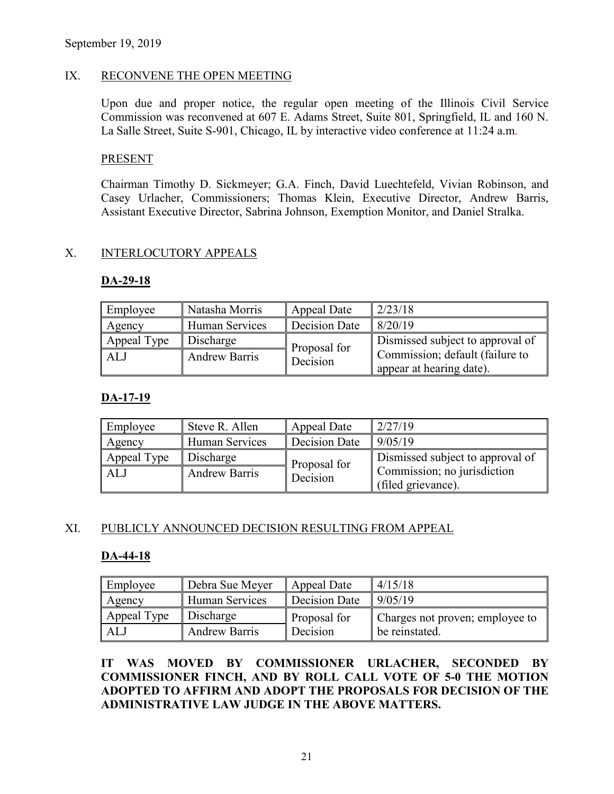#### IX. RECONVENE THE OPEN MEETING

Upon due and proper notice, the regular open meeting of the Illinois Civil Service Commission was reconvened at 607 E. Adams Street, Suite 801, Springfield, IL and 160 N. La Salle Street, Suite S-901, Chicago, IL by interactive video conference at 11:24 a.m.

#### PRESENT

Chairman Timothy D. Sickmeyer; G.A. Finch, David Luechtefeld, Vivian Robinson, and Casey Urlacher, Commissioners; Thomas Klein, Executive Director, Andrew Barris, Assistant Executive Director, Sabrina Johnson, Exemption Monitor, and Daniel Stralka.

#### X. INTERLOCUTORY APPEALS

#### **DA-29-18**

| Employee    | Natasha Morris        | Appeal Date   | 2/23/18                          |
|-------------|-----------------------|---------------|----------------------------------|
| Agency      | <b>Human Services</b> | Decision Date | 8/20/19                          |
| Appeal Type | Discharge             | Proposal for  | Dismissed subject to approval of |
| ALJ         | <b>Andrew Barris</b>  | Decision      | Commission; default (failure to  |
|             |                       |               | appear at hearing date).         |

#### **DA-17-19**

| Employee    | Steve R. Allen       | Appeal Date   | 2/27/19                                           |
|-------------|----------------------|---------------|---------------------------------------------------|
| Agency      | Human Services       | Decision Date | 9/05/19                                           |
| Appeal Type | Discharge            | Proposal for  | Dismissed subject to approval of                  |
| ALJ         | <b>Andrew Barris</b> | Decision      | Commission; no jurisdiction<br>(filed grievance). |

#### XI. PUBLICLY ANNOUNCED DECISION RESULTING FROM APPEAL

#### **DA-44-18**

| Employee    | Debra Sue Meyer       | Appeal Date   | 4/15/18                         |
|-------------|-----------------------|---------------|---------------------------------|
| Agency      | <b>Human Services</b> | Decision Date | 9/05/19                         |
| Appeal Type | Discharge             | Proposal for  | Charges not proven; employee to |
| ALJ         | <b>Andrew Barris</b>  | Decision      | be reinstated.                  |

**IT WAS MOVED BY COMMISSIONER URLACHER, SECONDED BY COMMISSIONER FINCH, AND BY ROLL CALL VOTE OF 5-0 THE MOTION ADOPTED TO AFFIRM AND ADOPT THE PROPOSALS FOR DECISION OF THE ADMINISTRATIVE LAW JUDGE IN THE ABOVE MATTERS.**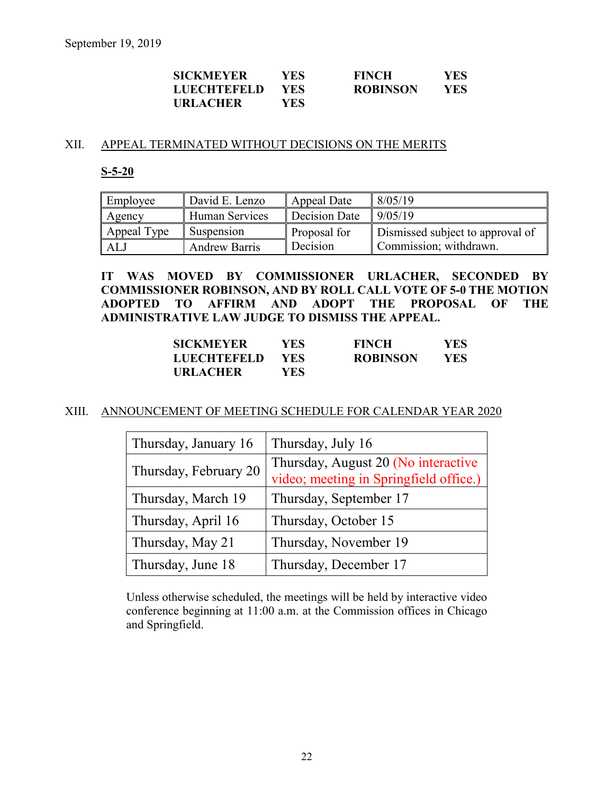| <b>SICKMEYER</b>   | YES  | <b>FINCH</b>    | YES |
|--------------------|------|-----------------|-----|
| <b>LUECHTEFELD</b> | YES. | <b>ROBINSON</b> | YES |
| <b>URLACHER</b>    | YES  |                 |     |

#### XII. APPEAL TERMINATED WITHOUT DECISIONS ON THE MERITS

#### **S-5-20**

| Employee    | David E. Lenzo       | Appeal Date   | 8/05/19                          |
|-------------|----------------------|---------------|----------------------------------|
| Agency      | Human Services       | Decision Date | 9/05/19                          |
| Appeal Type | Suspension           | Proposal for  | Dismissed subject to approval of |
| ALJ         | <b>Andrew Barris</b> | Decision      | Commission; withdrawn.           |

**IT WAS MOVED BY COMMISSIONER URLACHER, SECONDED BY COMMISSIONER ROBINSON, AND BY ROLL CALL VOTE OF 5-0 THE MOTION ADOPTED TO AFFIRM AND ADOPT THE PROPOSAL OF THE ADMINISTRATIVE LAW JUDGE TO DISMISS THE APPEAL.**

| <b>SICKMEYER</b>   | YES  | <b>FINCH</b>    | YES  |
|--------------------|------|-----------------|------|
| <b>LUECHTEFELD</b> | YES. | <b>ROBINSON</b> | YES. |
| <b>URLACHER</b>    | YES  |                 |      |

#### XIII. ANNOUNCEMENT OF MEETING SCHEDULE FOR CALENDAR YEAR 2020

| Thursday, January 16  | Thursday, July 16                                                             |
|-----------------------|-------------------------------------------------------------------------------|
| Thursday, February 20 | Thursday, August 20 (No interactive<br>video; meeting in Springfield office.) |
| Thursday, March 19    | Thursday, September 17                                                        |
| Thursday, April 16    | Thursday, October 15                                                          |
| Thursday, May 21      | Thursday, November 19                                                         |
| Thursday, June 18     | Thursday, December 17                                                         |

Unless otherwise scheduled, the meetings will be held by interactive video conference beginning at 11:00 a.m. at the Commission offices in Chicago and Springfield.